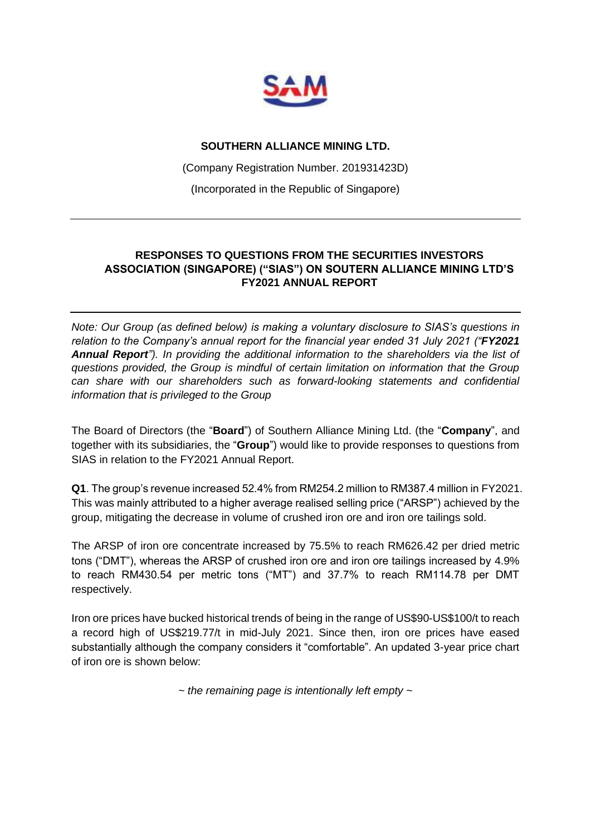

### **SOUTHERN ALLIANCE MINING LTD.**

(Company Registration Number. 201931423D)

(Incorporated in the Republic of Singapore)

### **RESPONSES TO QUESTIONS FROM THE SECURITIES INVESTORS ASSOCIATION (SINGAPORE) ("SIAS") ON SOUTERN ALLIANCE MINING LTD'S FY2021 ANNUAL REPORT**

*Note: Our Group (as defined below) is making a voluntary disclosure to SIAS's questions in relation to the Company's annual report for the financial year ended 31 July 2021 ("FY2021 Annual Report"). In providing the additional information to the shareholders via the list of questions provided, the Group is mindful of certain limitation on information that the Group can share with our shareholders such as forward-looking statements and confidential information that is privileged to the Group*

The Board of Directors (the "**Board**") of Southern Alliance Mining Ltd. (the "**Company**", and together with its subsidiaries, the "**Group**") would like to provide responses to questions from SIAS in relation to the FY2021 Annual Report.

**Q1**. The group's revenue increased 52.4% from RM254.2 million to RM387.4 million in FY2021. This was mainly attributed to a higher average realised selling price ("ARSP") achieved by the group, mitigating the decrease in volume of crushed iron ore and iron ore tailings sold.

The ARSP of iron ore concentrate increased by 75.5% to reach RM626.42 per dried metric tons ("DMT"), whereas the ARSP of crushed iron ore and iron ore tailings increased by 4.9% to reach RM430.54 per metric tons ("MT") and 37.7% to reach RM114.78 per DMT respectively.

Iron ore prices have bucked historical trends of being in the range of US\$90-US\$100/t to reach a record high of US\$219.77/t in mid-July 2021. Since then, iron ore prices have eased substantially although the company considers it "comfortable". An updated 3-year price chart of iron ore is shown below:

*~ the remaining page is intentionally left empty ~*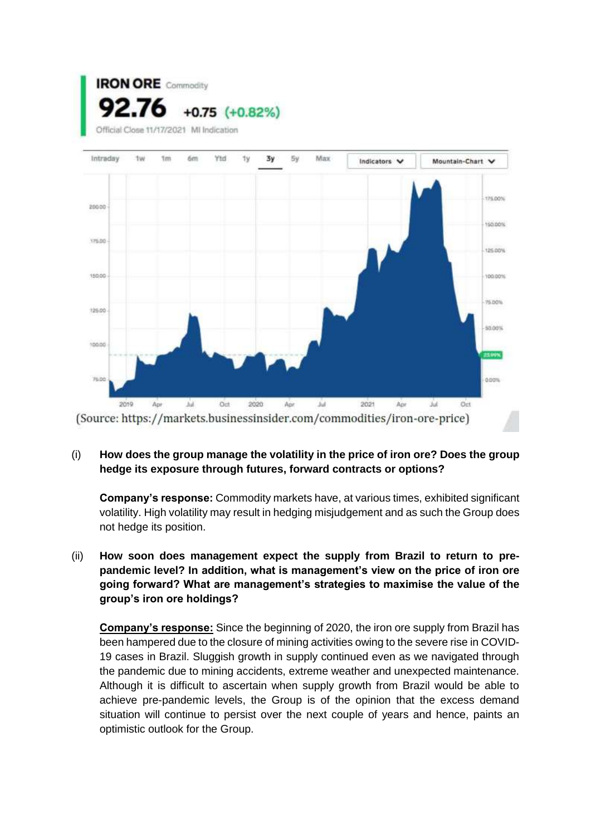



# (i) **How does the group manage the volatility in the price of iron ore? Does the group hedge its exposure through futures, forward contracts or options?**

**Company's response:** Commodity markets have, at various times, exhibited significant volatility. High volatility may result in hedging misjudgement and as such the Group does not hedge its position.

(ii) **How soon does management expect the supply from Brazil to return to prepandemic level? In addition, what is management's view on the price of iron ore going forward? What are management's strategies to maximise the value of the group's iron ore holdings?**

**Company's response:** Since the beginning of 2020, the iron ore supply from Brazil has been hampered due to the closure of mining activities owing to the severe rise in COVID-19 cases in Brazil. Sluggish growth in supply continued even as we navigated through the pandemic due to mining accidents, extreme weather and unexpected maintenance. Although it is difficult to ascertain when supply growth from Brazil would be able to achieve pre-pandemic levels, the Group is of the opinion that the excess demand situation will continue to persist over the next couple of years and hence, paints an optimistic outlook for the Group.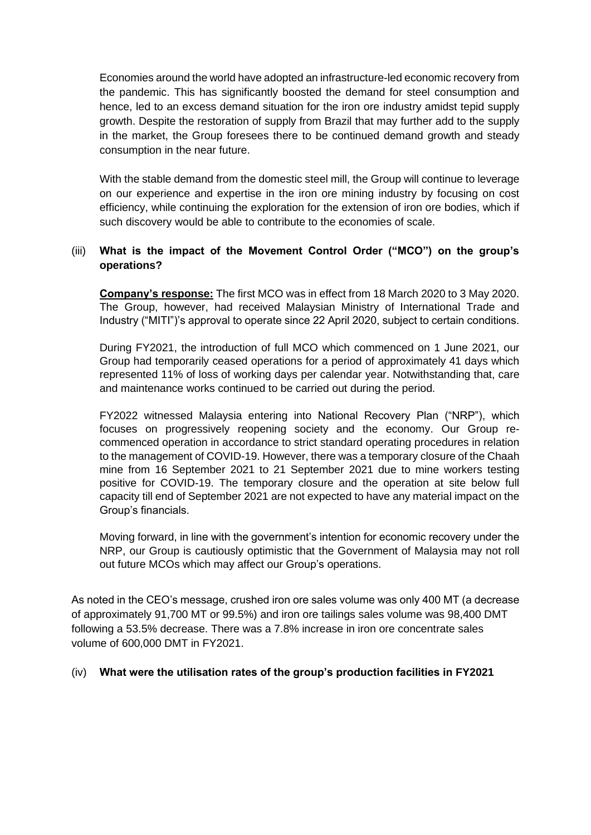Economies around the world have adopted an infrastructure-led economic recovery from the pandemic. This has significantly boosted the demand for steel consumption and hence, led to an excess demand situation for the iron ore industry amidst tepid supply growth. Despite the restoration of supply from Brazil that may further add to the supply in the market, the Group foresees there to be continued demand growth and steady consumption in the near future.

With the stable demand from the domestic steel mill, the Group will continue to leverage on our experience and expertise in the iron ore mining industry by focusing on cost efficiency, while continuing the exploration for the extension of iron ore bodies, which if such discovery would be able to contribute to the economies of scale.

# (iii) **What is the impact of the Movement Control Order ("MCO") on the group's operations?**

**Company's response:** The first MCO was in effect from 18 March 2020 to 3 May 2020. The Group, however, had received Malaysian Ministry of International Trade and Industry ("MITI")'s approval to operate since 22 April 2020, subject to certain conditions.

During FY2021, the introduction of full MCO which commenced on 1 June 2021, our Group had temporarily ceased operations for a period of approximately 41 days which represented 11% of loss of working days per calendar year. Notwithstanding that, care and maintenance works continued to be carried out during the period.

FY2022 witnessed Malaysia entering into National Recovery Plan ("NRP"), which focuses on progressively reopening society and the economy. Our Group recommenced operation in accordance to strict standard operating procedures in relation to the management of COVID-19. However, there was a temporary closure of the Chaah mine from 16 September 2021 to 21 September 2021 due to mine workers testing positive for COVID-19. The temporary closure and the operation at site below full capacity till end of September 2021 are not expected to have any material impact on the Group's financials.

Moving forward, in line with the government's intention for economic recovery under the NRP, our Group is cautiously optimistic that the Government of Malaysia may not roll out future MCOs which may affect our Group's operations.

As noted in the CEO's message, crushed iron ore sales volume was only 400 MT (a decrease of approximately 91,700 MT or 99.5%) and iron ore tailings sales volume was 98,400 DMT following a 53.5% decrease. There was a 7.8% increase in iron ore concentrate sales volume of 600,000 DMT in FY2021.

### (iv) **What were the utilisation rates of the group's production facilities in FY2021**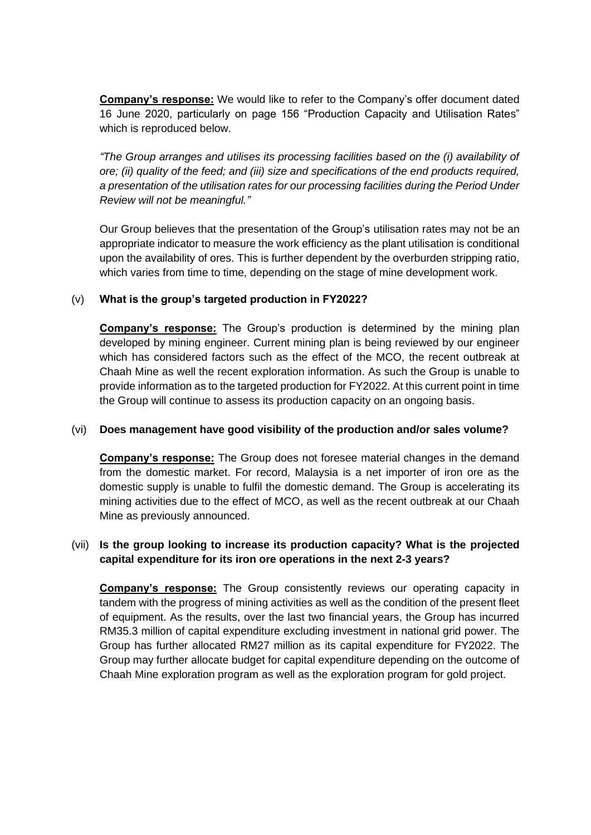**Company's response:** We would like to refer to the Company's offer document dated 16 June 2020, particularly on page 156 "Production Capacity and Utilisation Rates" which is reproduced below.

*"The Group arranges and utilises its processing facilities based on the (i) availability of ore; (ii) quality of the feed; and (iii) size and specifications of the end products required, a presentation of the utilisation rates for our processing facilities during the Period Under Review will not be meaningful."*

Our Group believes that the presentation of the Group's utilisation rates may not be an appropriate indicator to measure the work efficiency as the plant utilisation is conditional upon the availability of ores. This is further dependent by the overburden stripping ratio, which varies from time to time, depending on the stage of mine development work.

# (v) **What is the group's targeted production in FY2022?**

**Company's response:** The Group's production is determined by the mining plan developed by mining engineer. Current mining plan is being reviewed by our engineer which has considered factors such as the effect of the MCO, the recent outbreak at Chaah Mine as well the recent exploration information. As such the Group is unable to provide information as to the targeted production for FY2022. At this current point in time the Group will continue to assess its production capacity on an ongoing basis.

### (vi) **Does management have good visibility of the production and/or sales volume?**

**Company's response:** The Group does not foresee material changes in the demand from the domestic market. For record, Malaysia is a net importer of iron ore as the domestic supply is unable to fulfil the domestic demand. The Group is accelerating its mining activities due to the effect of MCO, as well as the recent outbreak at our Chaah Mine as previously announced.

# (vii) **Is the group looking to increase its production capacity? What is the projected capital expenditure for its iron ore operations in the next 2-3 years?**

**Company's response:** The Group consistently reviews our operating capacity in tandem with the progress of mining activities as well as the condition of the present fleet of equipment. As the results, over the last two financial years, the Group has incurred RM35.3 million of capital expenditure excluding investment in national grid power. The Group has further allocated RM27 million as its capital expenditure for FY2022. The Group may further allocate budget for capital expenditure depending on the outcome of Chaah Mine exploration program as well as the exploration program for gold project.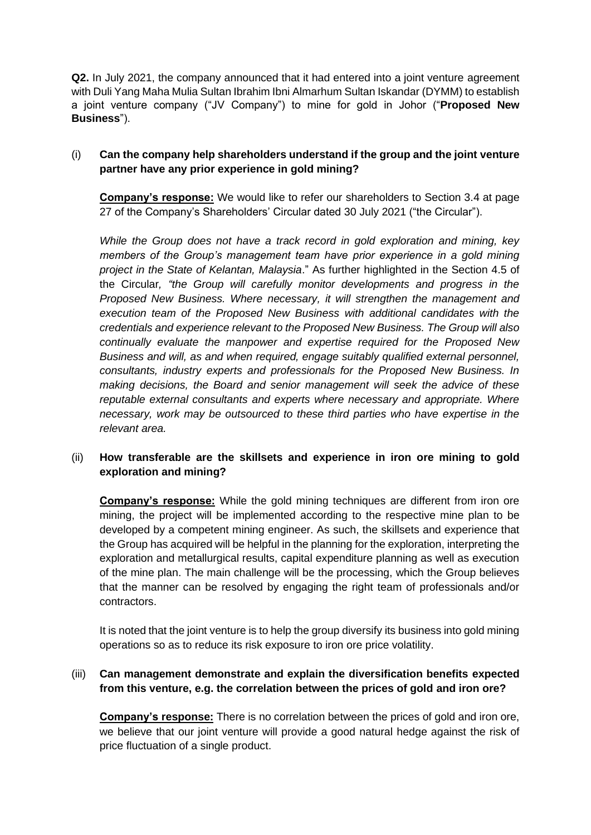**Q2.** In July 2021, the company announced that it had entered into a joint venture agreement with Duli Yang Maha Mulia Sultan Ibrahim Ibni Almarhum Sultan Iskandar (DYMM) to establish a joint venture company ("JV Company") to mine for gold in Johor ("**Proposed New Business**").

# (i) **Can the company help shareholders understand if the group and the joint venture partner have any prior experience in gold mining?**

**Company's response:** We would like to refer our shareholders to Section 3.4 at page 27 of the Company's Shareholders' Circular dated 30 July 2021 ("the Circular").

*While the Group does not have a track record in gold exploration and mining, key members of the Group's management team have prior experience in a gold mining project in the State of Kelantan, Malaysia*." As further highlighted in the Section 4.5 of the Circular*, "the Group will carefully monitor developments and progress in the Proposed New Business. Where necessary, it will strengthen the management and execution team of the Proposed New Business with additional candidates with the credentials and experience relevant to the Proposed New Business. The Group will also continually evaluate the manpower and expertise required for the Proposed New Business and will, as and when required, engage suitably qualified external personnel, consultants, industry experts and professionals for the Proposed New Business. In making decisions, the Board and senior management will seek the advice of these reputable external consultants and experts where necessary and appropriate. Where necessary, work may be outsourced to these third parties who have expertise in the relevant area.*

# (ii) **How transferable are the skillsets and experience in iron ore mining to gold exploration and mining?**

**Company's response:** While the gold mining techniques are different from iron ore mining, the project will be implemented according to the respective mine plan to be developed by a competent mining engineer. As such, the skillsets and experience that the Group has acquired will be helpful in the planning for the exploration, interpreting the exploration and metallurgical results, capital expenditure planning as well as execution of the mine plan. The main challenge will be the processing, which the Group believes that the manner can be resolved by engaging the right team of professionals and/or contractors.

It is noted that the joint venture is to help the group diversify its business into gold mining operations so as to reduce its risk exposure to iron ore price volatility.

# (iii) **Can management demonstrate and explain the diversification benefits expected from this venture, e.g. the correlation between the prices of gold and iron ore?**

**Company's response:** There is no correlation between the prices of gold and iron ore, we believe that our joint venture will provide a good natural hedge against the risk of price fluctuation of a single product.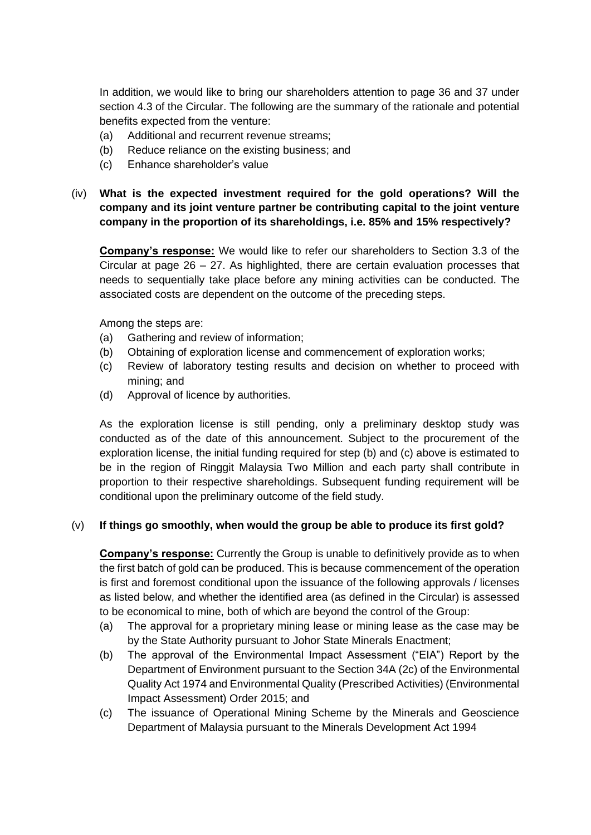In addition, we would like to bring our shareholders attention to page 36 and 37 under section 4.3 of the Circular. The following are the summary of the rationale and potential benefits expected from the venture:

- (a) Additional and recurrent revenue streams;
- (b) Reduce reliance on the existing business; and
- (c) Enhance shareholder's value
- (iv) **What is the expected investment required for the gold operations? Will the company and its joint venture partner be contributing capital to the joint venture company in the proportion of its shareholdings, i.e. 85% and 15% respectively?**

**Company's response:** We would like to refer our shareholders to Section 3.3 of the Circular at page 26 – 27. As highlighted, there are certain evaluation processes that needs to sequentially take place before any mining activities can be conducted. The associated costs are dependent on the outcome of the preceding steps.

Among the steps are:

- (a) Gathering and review of information;
- (b) Obtaining of exploration license and commencement of exploration works;
- (c) Review of laboratory testing results and decision on whether to proceed with mining; and
- (d) Approval of licence by authorities.

As the exploration license is still pending, only a preliminary desktop study was conducted as of the date of this announcement. Subject to the procurement of the exploration license, the initial funding required for step (b) and (c) above is estimated to be in the region of Ringgit Malaysia Two Million and each party shall contribute in proportion to their respective shareholdings. Subsequent funding requirement will be conditional upon the preliminary outcome of the field study.

### (v) **If things go smoothly, when would the group be able to produce its first gold?**

**Company's response:** Currently the Group is unable to definitively provide as to when the first batch of gold can be produced. This is because commencement of the operation is first and foremost conditional upon the issuance of the following approvals / licenses as listed below, and whether the identified area (as defined in the Circular) is assessed to be economical to mine, both of which are beyond the control of the Group:

- (a) The approval for a proprietary mining lease or mining lease as the case may be by the State Authority pursuant to Johor State Minerals Enactment;
- (b) The approval of the Environmental Impact Assessment ("EIA") Report by the Department of Environment pursuant to the Section 34A (2c) of the Environmental Quality Act 1974 and Environmental Quality (Prescribed Activities) (Environmental Impact Assessment) Order 2015; and
- (c) The issuance of Operational Mining Scheme by the Minerals and Geoscience Department of Malaysia pursuant to the Minerals Development Act 1994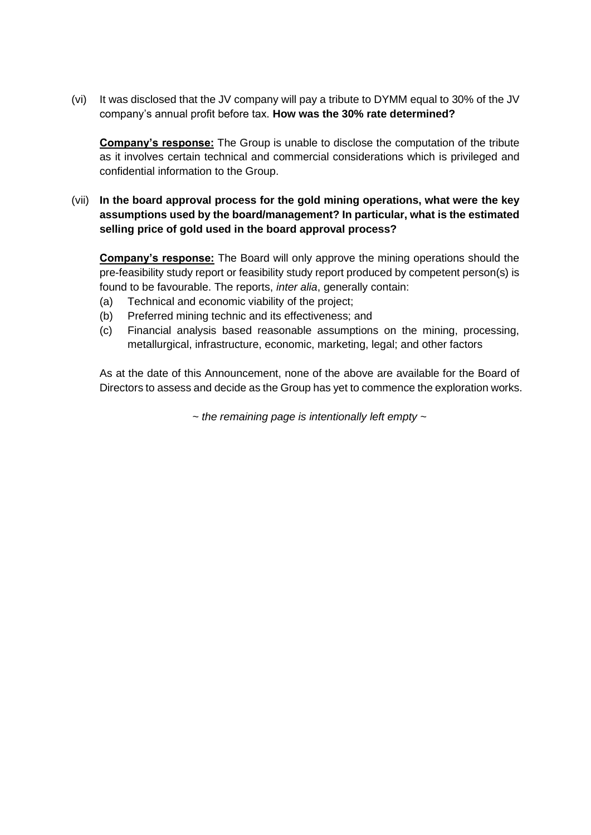(vi) It was disclosed that the JV company will pay a tribute to DYMM equal to 30% of the JV company's annual profit before tax. **How was the 30% rate determined?**

**Company's response:** The Group is unable to disclose the computation of the tribute as it involves certain technical and commercial considerations which is privileged and confidential information to the Group.

## (vii) **In the board approval process for the gold mining operations, what were the key assumptions used by the board/management? In particular, what is the estimated selling price of gold used in the board approval process?**

**Company's response:** The Board will only approve the mining operations should the pre-feasibility study report or feasibility study report produced by competent person(s) is found to be favourable. The reports, *inter alia*, generally contain:

- (a) Technical and economic viability of the project;
- (b) Preferred mining technic and its effectiveness; and
- (c) Financial analysis based reasonable assumptions on the mining, processing, metallurgical, infrastructure, economic, marketing, legal; and other factors

As at the date of this Announcement, none of the above are available for the Board of Directors to assess and decide as the Group has yet to commence the exploration works.

*~ the remaining page is intentionally left empty ~*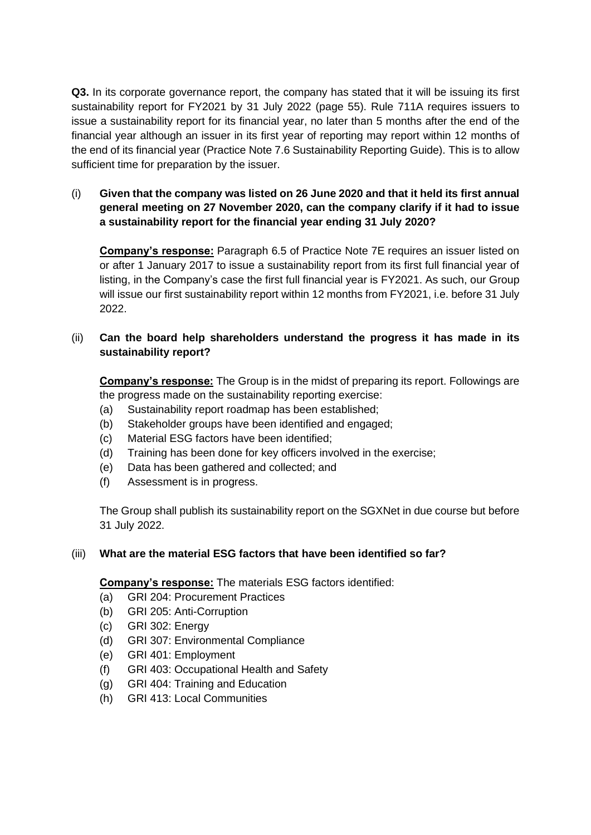**Q3.** In its corporate governance report, the company has stated that it will be issuing its first sustainability report for FY2021 by 31 July 2022 (page 55). Rule 711A requires issuers to issue a sustainability report for its financial year, no later than 5 months after the end of the financial year although an issuer in its first year of reporting may report within 12 months of the end of its financial year (Practice Note 7.6 Sustainability Reporting Guide). This is to allow sufficient time for preparation by the issuer.

# (i) **Given that the company was listed on 26 June 2020 and that it held its first annual general meeting on 27 November 2020, can the company clarify if it had to issue a sustainability report for the financial year ending 31 July 2020?**

**Company's response:** Paragraph 6.5 of Practice Note 7E requires an issuer listed on or after 1 January 2017 to issue a sustainability report from its first full financial year of listing, in the Company's case the first full financial year is FY2021. As such, our Group will issue our first sustainability report within 12 months from FY2021, i.e. before 31 July 2022.

# (ii) **Can the board help shareholders understand the progress it has made in its sustainability report?**

**Company's response:** The Group is in the midst of preparing its report. Followings are the progress made on the sustainability reporting exercise:

- (a) Sustainability report roadmap has been established;
- (b) Stakeholder groups have been identified and engaged;
- (c) Material ESG factors have been identified;
- (d) Training has been done for key officers involved in the exercise;
- (e) Data has been gathered and collected; and
- (f) Assessment is in progress.

The Group shall publish its sustainability report on the SGXNet in due course but before 31 July 2022.

### (iii) **What are the material ESG factors that have been identified so far?**

**Company's response:** The materials ESG factors identified:

- (a) GRI 204: Procurement Practices
- (b) GRI 205: Anti-Corruption
- (c) GRI 302: Energy
- (d) GRI 307: Environmental Compliance
- (e) GRI 401: Employment
- (f) GRI 403: Occupational Health and Safety
- (g) GRI 404: Training and Education
- (h) GRI 413: Local Communities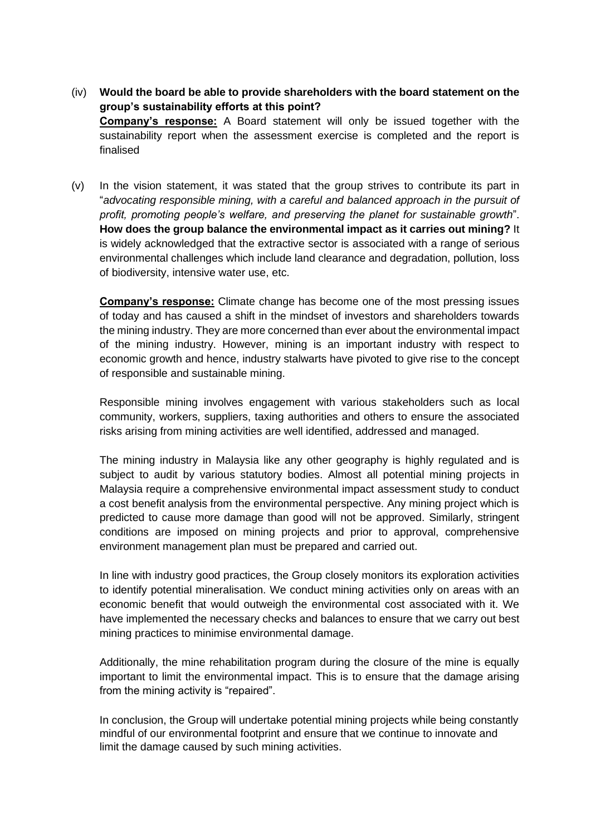- (iv) **Would the board be able to provide shareholders with the board statement on the group's sustainability efforts at this point? Company's response:** A Board statement will only be issued together with the sustainability report when the assessment exercise is completed and the report is finalised
- (v) In the vision statement, it was stated that the group strives to contribute its part in "*advocating responsible mining, with a careful and balanced approach in the pursuit of profit, promoting people's welfare, and preserving the planet for sustainable growth*". **How does the group balance the environmental impact as it carries out mining?** It is widely acknowledged that the extractive sector is associated with a range of serious environmental challenges which include land clearance and degradation, pollution, loss of biodiversity, intensive water use, etc.

**Company's response:** Climate change has become one of the most pressing issues of today and has caused a shift in the mindset of investors and shareholders towards the mining industry. They are more concerned than ever about the environmental impact of the mining industry. However, mining is an important industry with respect to economic growth and hence, industry stalwarts have pivoted to give rise to the concept of responsible and sustainable mining.

Responsible mining involves engagement with various stakeholders such as local community, workers, suppliers, taxing authorities and others to ensure the associated risks arising from mining activities are well identified, addressed and managed.

The mining industry in Malaysia like any other geography is highly regulated and is subject to audit by various statutory bodies. Almost all potential mining projects in Malaysia require a comprehensive environmental impact assessment study to conduct a cost benefit analysis from the environmental perspective. Any mining project which is predicted to cause more damage than good will not be approved. Similarly, stringent conditions are imposed on mining projects and prior to approval, comprehensive environment management plan must be prepared and carried out.

In line with industry good practices, the Group closely monitors its exploration activities to identify potential mineralisation. We conduct mining activities only on areas with an economic benefit that would outweigh the environmental cost associated with it. We have implemented the necessary checks and balances to ensure that we carry out best mining practices to minimise environmental damage.

Additionally, the mine rehabilitation program during the closure of the mine is equally important to limit the environmental impact. This is to ensure that the damage arising from the mining activity is "repaired".

In conclusion, the Group will undertake potential mining projects while being constantly mindful of our environmental footprint and ensure that we continue to innovate and limit the damage caused by such mining activities.